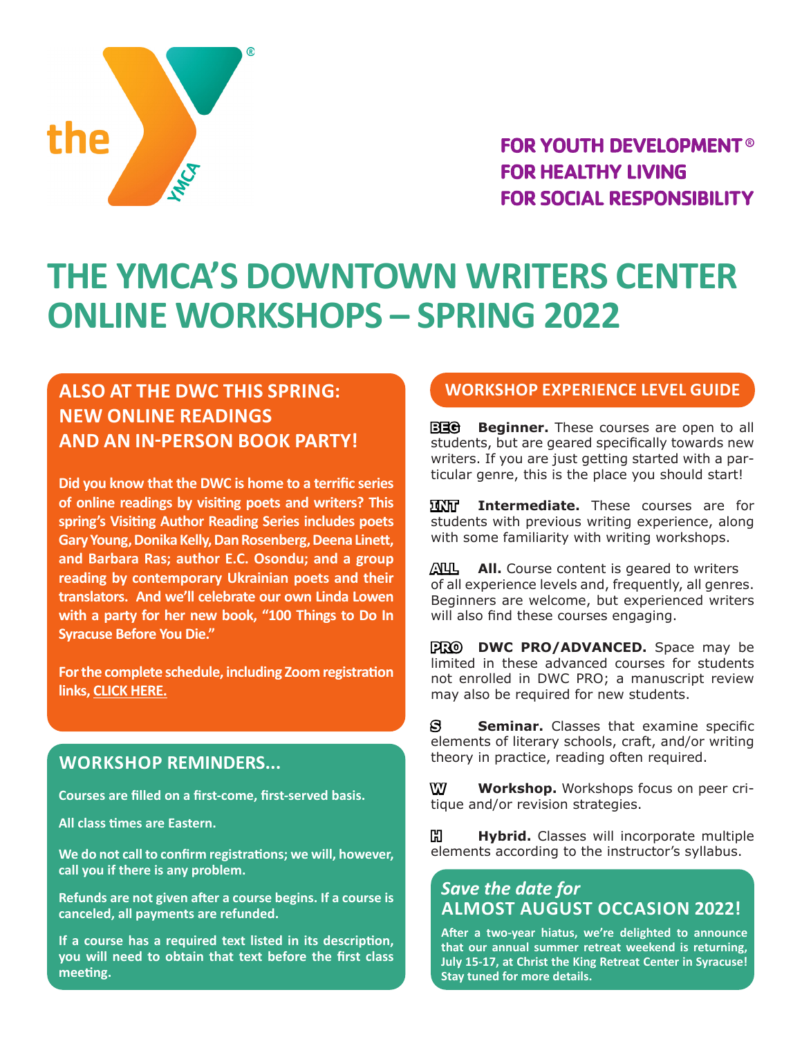

**FOR YOUTH DEVELOPMENT® FOR HEALTHY LIVING FOR SOCIAL RESPONSIBILITY** 

# **THE YMCA'S DOWNTOWN WRITERS CENTER ONLINE WORKSHOPS – SPRING 2022**

### **ALSO AT THE DWC THIS SPRING: NEW ONLINE READINGS AND AN IN-PERSON BOOK PARTY!**

**Did you know that the DWC is home to a terrific series of online readings by visiting poets and writers? This spring's Visiting Author Reading Series includes poets Gary Young, Donika Kelly, Dan Rosenberg, Deena Linett, and Barbara Ras; author E.C. Osondu; and a group reading by contemporary Ukrainian poets and their translators. And we'll celebrate our own Linda Lowen with a party for her new book, "100 Things to Do In Syracuse Before You Die."**

**For the complete schedule, including Zoom registration links, [CLICK HERE.](https://ymcacny.org/blog/category/downtown-writers-center)**

### **WORKSHOP REMINDERS...**

**Courses are filled on a first-come, first-served basis.**

**All class times are Eastern.**

**We do not call to confirm registrations; we will, however, call you if there is any problem.**

**Refunds are not given after a course begins. If a course is canceled, all payments are refunded.**

**If a course has a required text listed in its description, you will need to obtain that text before the first class meeting.**

### **WORKSHOP EXPERIENCE LEVEL GUIDE**

**BEG Beginner.** These courses are open to all students, but are geared specifically towards new writers. If you are just getting started with a particular genre, this is the place you should start!

**INT Intermediate.** These courses are for students with previous writing experience, along with some familiarity with writing workshops.

**ALL All.** Course content is geared to writers of all experience levels and, frequently, all genres. Beginners are welcome, but experienced writers will also find these courses engaging.

**PRO DWC PRO/ADVANCED.** Space may be limited in these advanced courses for students not enrolled in DWC PRO; a manuscript review may also be required for new students.

**S Seminar.** Classes that examine specific elements of literary schools, craft, and/or writing theory in practice, reading often required.

**W Workshop.** Workshops focus on peer critique and/or revision strategies.

**Hybrid.** Classes will incorporate multiple elements according to the instructor's syllabus.

### *Save the date for* **ALMOST AUGUST OCCASION 2022!**

**After a two-year hiatus, we're delighted to announce that our annual summer retreat weekend is returning, July 15-17, at Christ the King Retreat Center in Syracuse! Stay tuned for more details.**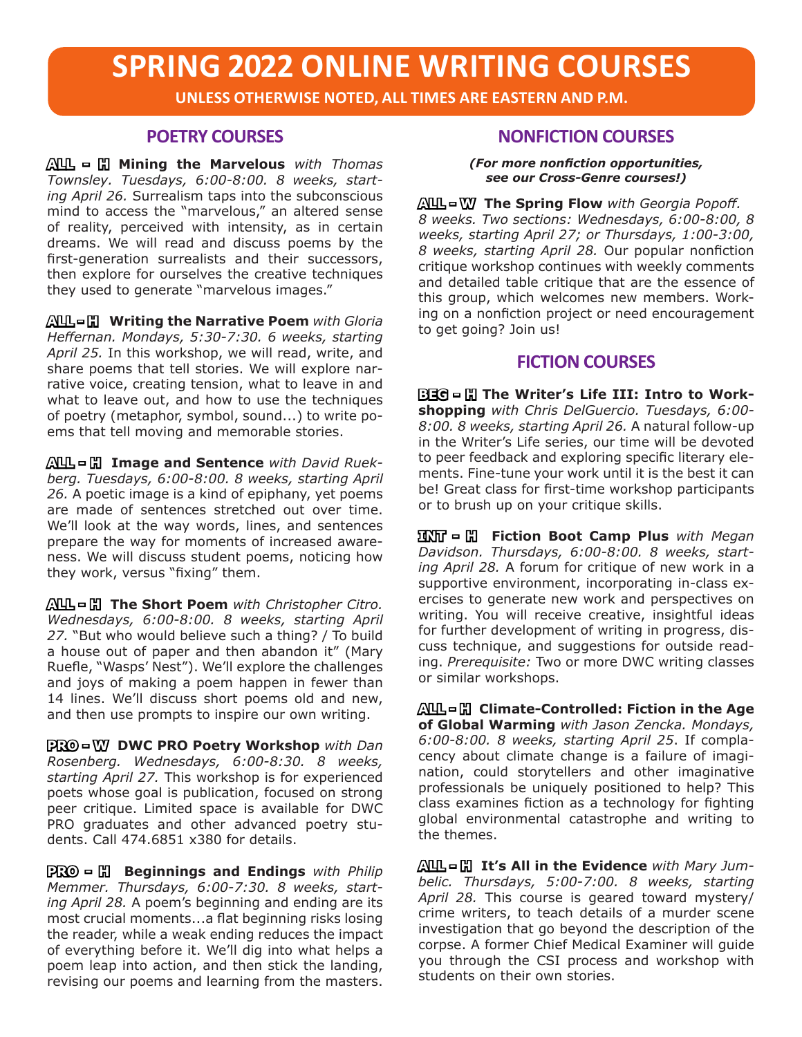# **SPRING 2022 ONLINE WRITING COURSES**

**UNLESS OTHERWISE NOTED, ALL TIMES ARE EASTERN AND P.M.**

#### **POETRY COURSES**

**ALL - H Mining the Marvelous** *with Thomas Townsley. Tuesdays, 6:00-8:00. 8 weeks, starting April 26.* Surrealism taps into the subconscious mind to access the "marvelous," an altered sense of reality, perceived with intensity, as in certain dreams. We will read and discuss poems by the first-generation surrealists and their successors, then explore for ourselves the creative techniques they used to generate "marvelous images."

**ALL - H Writing the Narrative Poem** *with Gloria Heffernan. Mondays, 5:30-7:30. 6 weeks, starting April 25.* In this workshop, we will read, write, and share poems that tell stories. We will explore narrative voice, creating tension, what to leave in and what to leave out, and how to use the techniques of poetry (metaphor, symbol, sound...) to write poems that tell moving and memorable stories.

**ALL - H Image and Sentence** *with David Ruekberg. Tuesdays, 6:00-8:00. 8 weeks, starting April 26.* A poetic image is a kind of epiphany, yet poems are made of sentences stretched out over time. We'll look at the way words, lines, and sentences prepare the way for moments of increased awareness. We will discuss student poems, noticing how they work, versus "fixing" them.

**ALL - H The Short Poem** *with Christopher Citro. Wednesdays, 6:00-8:00. 8 weeks, starting April 27.* "But who would believe such a thing? / To build a house out of paper and then abandon it" (Mary Ruefle, "Wasps' Nest"). We'll explore the challenges and joys of making a poem happen in fewer than 14 lines. We'll discuss short poems old and new, and then use prompts to inspire our own writing.

**PRO - W DWC PRO Poetry Workshop** *with Dan Rosenberg. Wednesdays, 6:00-8:30. 8 weeks, starting April 27.* This workshop is for experienced poets whose goal is publication, focused on strong peer critique. Limited space is available for DWC PRO graduates and other advanced poetry students. Call 474.6851 x380 for details.

**PRO = H Beginnings and Endings** with Philip *Memmer. Thursdays, 6:00-7:30. 8 weeks, starting April 28.* A poem's beginning and ending are its most crucial moments...a flat beginning risks losing the reader, while a weak ending reduces the impact of everything before it. We'll dig into what helps a poem leap into action, and then stick the landing, revising our poems and learning from the masters.

#### **NONFICTION COURSES**

*(For more nonfiction opportunities, see our Cross-Genre courses!)*

**ALL - W The Spring Flow** *with Georgia Popoff. 8 weeks. Two sections: Wednesdays, 6:00-8:00, 8 weeks, starting April 27; or Thursdays, 1:00-3:00, 8 weeks, starting April 28.* Our popular nonfiction critique workshop continues with weekly comments and detailed table critique that are the essence of this group, which welcomes new members. Working on a nonfiction project or need encouragement to get going? Join us!

### **FICTION COURSES**

**BEG - H The Writer's Life III: Intro to Workshopping** *with Chris DelGuercio. Tuesdays, 6:00- 8:00. 8 weeks, starting April 26.* A natural follow-up in the Writer's Life series, our time will be devoted to peer feedback and exploring specific literary elements. Fine-tune your work until it is the best it can be! Great class for first-time workshop participants or to brush up on your critique skills.

**INT - H Fiction Boot Camp Plus** *with Megan Davidson. Thursdays, 6:00-8:00. 8 weeks, starting April 28.* A forum for critique of new work in a supportive environment, incorporating in-class exercises to generate new work and perspectives on writing. You will receive creative, insightful ideas for further development of writing in progress, discuss technique, and suggestions for outside reading. *Prerequisite:* Two or more DWC writing classes or similar workshops.

**ALL - H Climate-Controlled: Fiction in the Age of Global Warming** *with Jason Zencka. Mondays, 6:00-8:00. 8 weeks, starting April 25*. If complacency about climate change is a failure of imagination, could storytellers and other imaginative professionals be uniquely positioned to help? This class examines fiction as a technology for fighting global environmental catastrophe and writing to the themes.

**ALL - H It's All in the Evidence** *with Mary Jumbelic. Thursdays, 5:00-7:00. 8 weeks, starting April 28.* This course is geared toward mystery/ crime writers, to teach details of a murder scene investigation that go beyond the description of the corpse. A former Chief Medical Examiner will guide you through the CSI process and workshop with students on their own stories.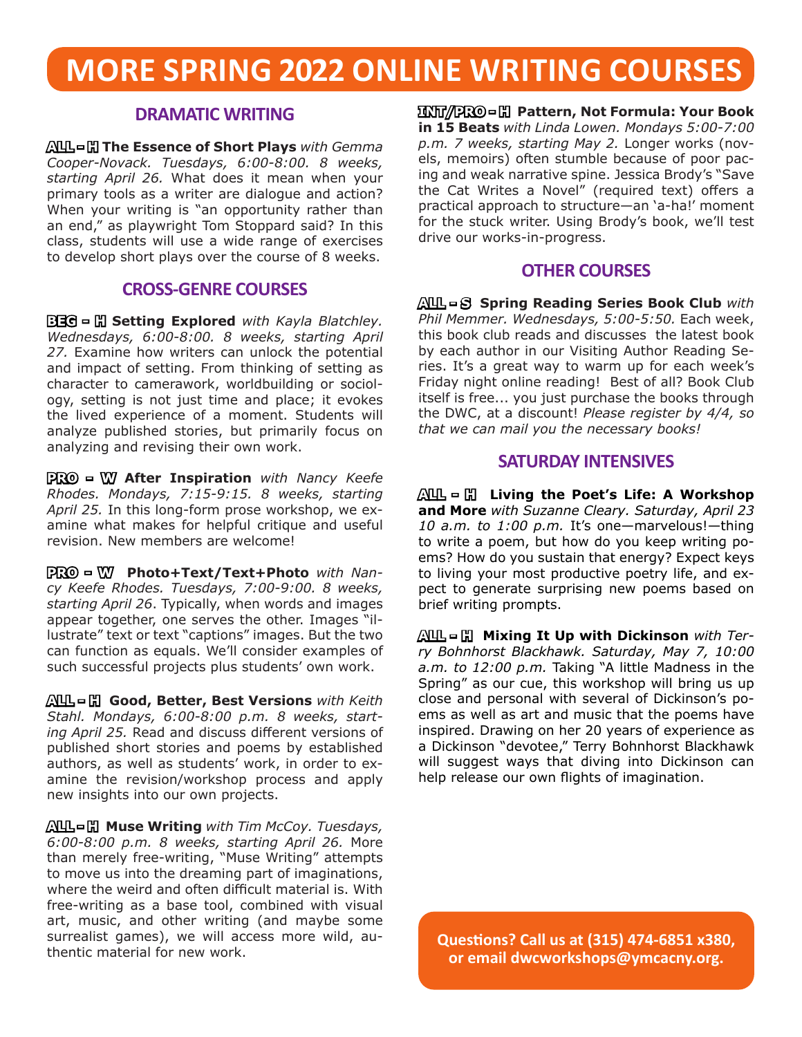# **MORE SPRING 2022 ONLINE WRITING COURSES**

### **DRAMATIC WRITING**

**ALL - H The Essence of Short Plays** *with Gemma Cooper-Novack. Tuesdays, 6:00-8:00. 8 weeks, starting April 26.* What does it mean when your primary tools as a writer are dialogue and action? When your writing is "an opportunity rather than an end," as playwright Tom Stoppard said? In this class, students will use a wide range of exercises to develop short plays over the course of 8 weeks.

#### **CROSS-GENRE COURSES**

**BEG = H Setting Explored** *with Kayla Blatchley. Wednesdays, 6:00-8:00. 8 weeks, starting April 27.* Examine how writers can unlock the potential and impact of setting. From thinking of setting as character to camerawork, worldbuilding or sociology, setting is not just time and place; it evokes the lived experience of a moment. Students will analyze published stories, but primarily focus on analyzing and revising their own work.

**PRO - W After Inspiration** *with Nancy Keefe Rhodes. Mondays, 7:15-9:15. 8 weeks, starting April 25.* In this long-form prose workshop, we examine what makes for helpful critique and useful revision. New members are welcome!

**PRO - W Photo+Text/Text+Photo** *with Nancy Keefe Rhodes. Tuesdays, 7:00-9:00. 8 weeks, starting April 26*. Typically, when words and images appear together, one serves the other. Images "illustrate" text or text "captions" images. But the two can function as equals. We'll consider examples of such successful projects plus students' own work.

**ALL - H Good, Better, Best Versions** *with Keith Stahl. Mondays, 6:00-8:00 p.m. 8 weeks, starting April 25.* Read and discuss different versions of published short stories and poems by established authors, as well as students' work, in order to examine the revision/workshop process and apply new insights into our own projects.

**ALL - H Muse Writing** *with Tim McCoy. Tuesdays, 6:00-8:00 p.m. 8 weeks, starting April 26.* More than merely free-writing, "Muse Writing" attempts to move us into the dreaming part of imaginations, where the weird and often difficult material is. With free-writing as a base tool, combined with visual art, music, and other writing (and maybe some surrealist games), we will access more wild, authentic material for new work.

**INT/PRO - H Pattern, Not Formula: Your Book in 15 Beats** *with Linda Lowen. Mondays 5:00-7:00 p.m. 7 weeks, starting May 2.* Longer works (novels, memoirs) often stumble because of poor pacing and weak narrative spine. Jessica Brody's "Save the Cat Writes a Novel" (required text) offers a practical approach to structure—an 'a-ha!' moment for the stuck writer. Using Brody's book, we'll test drive our works-in-progress.

### **OTHER COURSES**

**ALL - S Spring Reading Series Book Club** *with Phil Memmer. Wednesdays, 5:00-5:50.* Each week, this book club reads and discusses the latest book by each author in our Visiting Author Reading Series. It's a great way to warm up for each week's Friday night online reading! Best of all? Book Club itself is free... you just purchase the books through the DWC, at a discount! *Please register by 4/4, so that we can mail you the necessary books!*

### **SATURDAY INTENSIVES**

**ALL - H Living the Poet's Life: A Workshop and More** *with Suzanne Cleary. Saturday, April 23 10 a.m. to 1:00 p.m.* It's one—marvelous!—thing to write a poem, but how do you keep writing poems? How do you sustain that energy? Expect keys to living your most productive poetry life, and expect to generate surprising new poems based on brief writing prompts.

**ALL - H****Mixing It Up with Dickinson** *with Terry Bohnhorst Blackhawk. Saturday, May 7, 10:00 a.m. to 12:00 p.m.* Taking "A little Madness in the Spring" as our cue, this workshop will bring us up close and personal with several of Dickinson's poems as well as art and music that the poems have inspired. Drawing on her 20 years of experience as a Dickinson "devotee," Terry Bohnhorst Blackhawk will suggest ways that diving into Dickinson can help release our own flights of imagination.

**Questions? Call us at (315) 474-6851 x380, or email dwcworkshops@ymcacny.org.**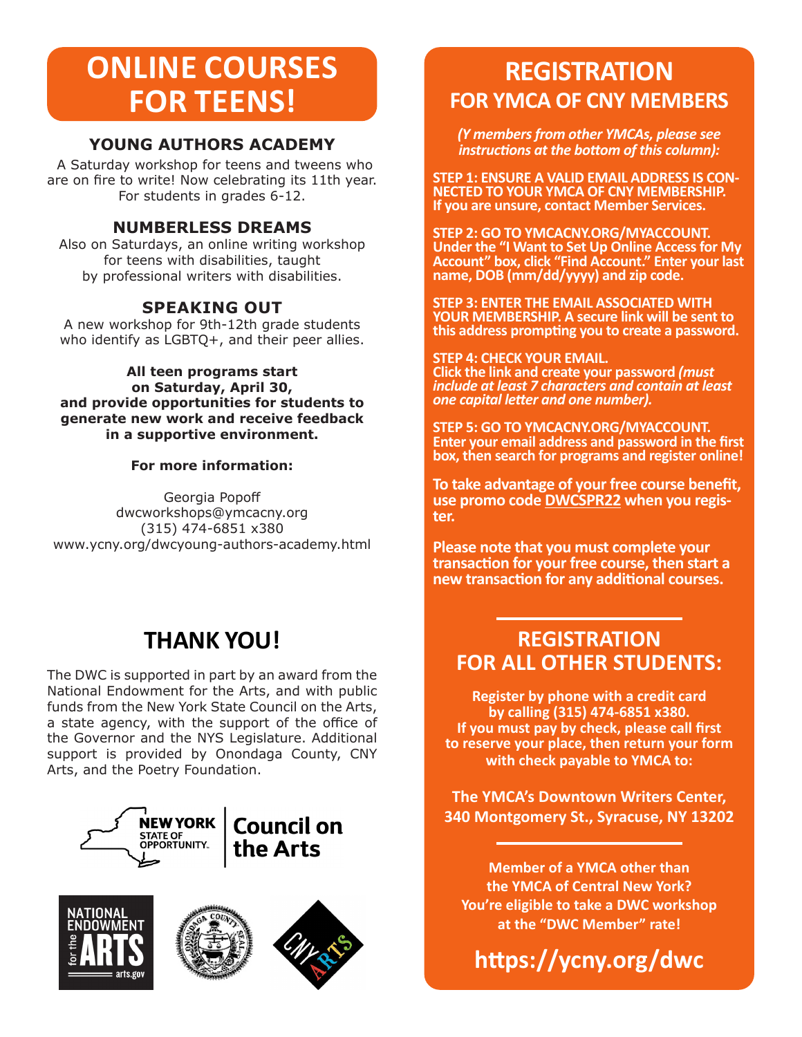# **ONLINE COURSES FOR TEENS!**

### **YOUNG AUTHORS ACADEMY**

A Saturday workshop for teens and tweens who are on fire to write! Now celebrating its 11th year. For students in grades 6-12.

### **NUMBERLESS DREAMS**

Also on Saturdays, an online writing workshop for teens with disabilities, taught by professional writers with disabilities.

### **SPEAKING OUT**

A new workshop for 9th-12th grade students who identify as LGBTQ+, and their peer allies.

**All teen programs start on Saturday, April 30, and provide opportunities for students to generate new work and receive feedback in a supportive environment.**

#### **For more information:**

Georgia Popoff dwcworkshops@ymcacny.org (315) 474-6851 x380 www.ycny.org/dwcyoung-authors-academy.html

## **THANK YOU!**

The DWC is supported in part by an award from the National Endowment for the Arts, and with public funds from the New York State Council on the Arts, a state agency, with the support of the office of the Governor and the NYS Legislature. Additional support is provided by Onondaga County, CNY Arts, and the Poetry Foundation.









## **REGISTRATION FOR YMCA OF CNY MEMBERS**

*(Y members from other YMCAs, please see instructions at the bottom of this column):*

**STEP 1: ENSURE A VALID EMAIL ADDRESS IS CON- NECTED TO YOUR YMCA OF CNY MEMBERSHIP. If you are unsure, contact Member Services.** 

**STEP 2: GO TO YMCACNY.ORG/MYACCOUNT. Under the "I Want to Set Up Online Access for My Account" box, click "Find Account." Enter your last name, DOB (mm/dd/yyyy) and zip code.**

**STEP 3: ENTER THE EMAIL ASSOCIATED WITH YOUR MEMBERSHIP. A secure link will be sent to this address prompting you to create a password.** 

**STEP 4: CHECK YOUR EMAIL. Click the link and create your password** *(must include at least 7 characters and contain at least one capital letter and one number).*

**STEP 5: GO TO YMCACNY.ORG/MYACCOUNT. Enter your email address and password in the first box, then search for programs and register online!**

**To take advantage of your free course benefit, use promo code DWCSPR22 when you regis- ter.**

**Please note that you must complete your transaction for your free course, then start a new transaction for any additional courses.**

### **REGISTRATION FOR ALL OTHER STUDENTS:**

**Register by phone with a credit card by calling (315) 474-6851 x380. If you must pay by check, please call first to reserve your place, then return your form with check payable to YMCA to:**

**The YMCA's Downtown Writers Center, 340 Montgomery St., Syracuse, NY 13202**

**Member of a YMCA other than the YMCA of Central New York? You're eligible to take a DWC workshop at the "DWC Member" rate!**

**https://ycny.org/dwc**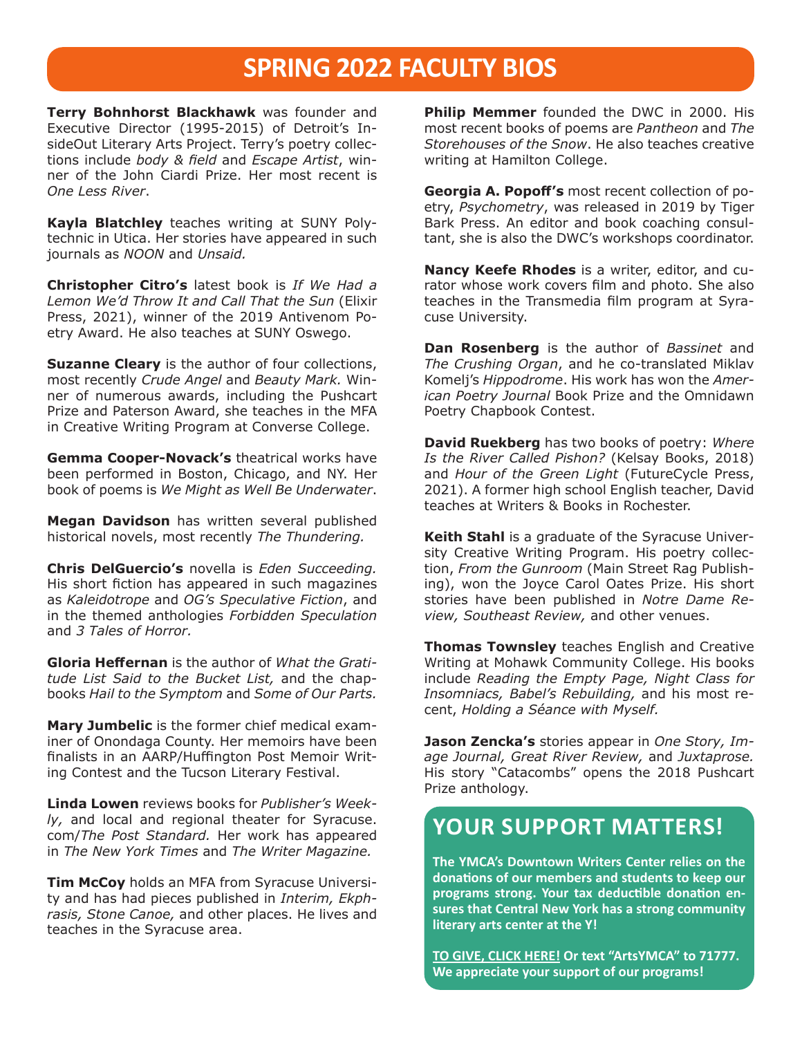### **SPRING 2022 FACULTY BIOS**

**Terry Bohnhorst Blackhawk** was founder and Executive Director (1995-2015) of Detroit's InsideOut Literary Arts Project. Terry's poetry collections include *body & field* and *Escape Artist*, winner of the John Ciardi Prize. Her most recent is *One Less River*.

**Kayla Blatchley** teaches writing at SUNY Polytechnic in Utica. Her stories have appeared in such journals as *NOON* and *Unsaid.* 

**Christopher Citro's** latest book is *If We Had a Lemon We'd Throw It and Call That the Sun* (Elixir Press, 2021), winner of the 2019 Antivenom Poetry Award. He also teaches at SUNY Oswego.

**Suzanne Cleary** is the author of four collections, most recently *Crude Angel* and *Beauty Mark.* Winner of numerous awards, including the Pushcart Prize and Paterson Award, she teaches in the MFA in Creative Writing Program at Converse College.

**Gemma Cooper-Novack's** theatrical works have been performed in Boston, Chicago, and NY. Her book of poems is *We Might as Well Be Underwater*.

**Megan Davidson** has written several published historical novels, most recently *The Thundering.*

**Chris DelGuercio's** novella is *Eden Succeeding.* His short fiction has appeared in such magazines as *Kaleidotrope* and *OG's Speculative Fiction*, and in the themed anthologies *Forbidden Speculation*  and *3 Tales of Horror.*

**Gloria Heffernan** is the author of *What the Gratitude List Said to the Bucket List,* and the chapbooks *Hail to the Symptom* and *Some of Our Parts.*

**Mary Jumbelic** is the former chief medical examiner of Onondaga County. Her memoirs have been finalists in an AARP/Huffington Post Memoir Writing Contest and the Tucson Literary Festival.

**Linda Lowen** reviews books for *Publisher's Weekly,* and local and regional theater for Syracuse. com/*The Post Standard.* Her work has appeared in *The New York Times* and *The Writer Magazine.*

**Tim McCoy** holds an MFA from Syracuse University and has had pieces published in *Interim, Ekphrasis, Stone Canoe,* and other places. He lives and teaches in the Syracuse area.

**Philip Memmer** founded the DWC in 2000. His most recent books of poems are *Pantheon* and *The Storehouses of the Snow*. He also teaches creative writing at Hamilton College.

**Georgia A. Popoff's** most recent collection of poetry, *Psychometry*, was released in 2019 by Tiger Bark Press. An editor and book coaching consultant, she is also the DWC's workshops coordinator.

**Nancy Keefe Rhodes** is a writer, editor, and curator whose work covers film and photo. She also teaches in the Transmedia film program at Syracuse University.

**Dan Rosenberg** is the author of *Bassinet* and *The Crushing Organ*, and he co-translated Miklav Komelj's *Hippodrome*. His work has won the *American Poetry Journal* Book Prize and the Omnidawn Poetry Chapbook Contest.

**David Ruekberg** has two books of poetry: *Where Is the River Called Pishon?* (Kelsay Books, 2018) and *Hour of the Green Light* (FutureCycle Press, 2021). A former high school English teacher, David teaches at Writers & Books in Rochester.

**Keith Stahl** is a graduate of the Syracuse University Creative Writing Program. His poetry collection, *From the Gunroom* (Main Street Rag Publishing), won the Joyce Carol Oates Prize. His short stories have been published in *Notre Dame Review, Southeast Review,* and other venues.

**Thomas Townsley** teaches English and Creative Writing at Mohawk Community College. His books include *Reading the Empty Page, Night Class for Insomniacs, Babel's Rebuilding,* and his most recent, *Holding a Séance with Myself.*

**Jason Zencka's** stories appear in *One Story, Image Journal, Great River Review,* and *Juxtaprose.*  His story "Catacombs" opens the 2018 Pushcart Prize anthology.

### **YOUR SUPPORT MATTERS!**

**The YMCA's Downtown Writers Center relies on the donations of our members and students to keep our programs strong. Your tax deductible donation ensures that Central New York has a strong community literary arts center at the Y!** 

**[TO GIVE, CLICK HERE!](https://app.mobilecause.com/vf/ArtsYMCA/PhilMemmer) Or text "ArtsYMCA" to 71777. We appreciate your support of our programs!**